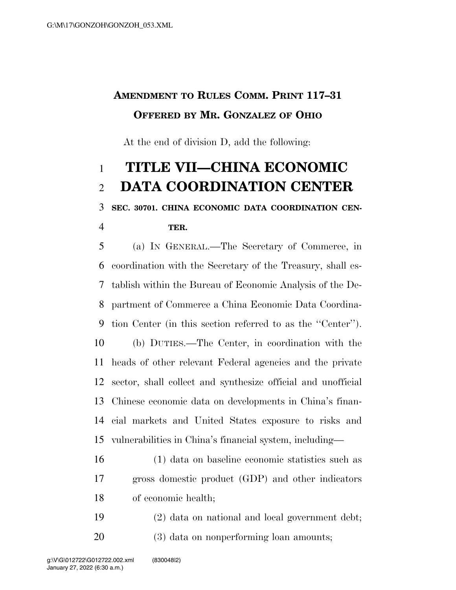## **AMENDMENT TO RULES COMM. PRINT 117–31 OFFERED BY MR. GONZALEZ OF OHIO**

At the end of division D, add the following:

## **TITLE VII—CHINA ECONOMIC DATA COORDINATION CENTER**

## **SEC. 30701. CHINA ECONOMIC DATA COORDINATION CEN-**

**TER.** 

 (a) IN GENERAL.—The Secretary of Commerce, in coordination with the Secretary of the Treasury, shall es- tablish within the Bureau of Economic Analysis of the De- partment of Commerce a China Economic Data Coordina- tion Center (in this section referred to as the ''Center''). (b) DUTIES.—The Center, in coordination with the heads of other relevant Federal agencies and the private sector, shall collect and synthesize official and unofficial Chinese economic data on developments in China's finan- cial markets and United States exposure to risks and vulnerabilities in China's financial system, including—

- (1) data on baseline economic statistics such as gross domestic product (GDP) and other indicators of economic health;
- (2) data on national and local government debt;
- (3) data on nonperforming loan amounts;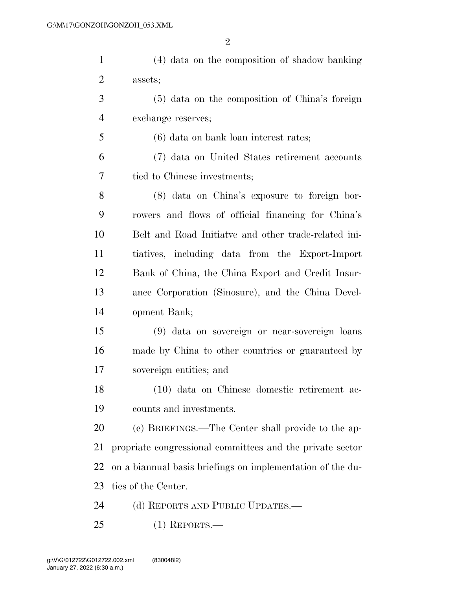| $\mathbf{1}$   | (4) data on the composition of shadow banking         |
|----------------|-------------------------------------------------------|
| $\overline{2}$ | assets;                                               |
| 3              | (5) data on the composition of China's foreign        |
| $\overline{4}$ | exchange reserves;                                    |
| 5              | (6) data on bank loan interest rates;                 |
| 6              | (7) data on United States retirement accounts         |
| 7              | tied to Chinese investments;                          |
| 8              | (8) data on China's exposure to foreign bor-          |
| 9              | rowers and flows of official financing for China's    |
| 10             | Belt and Road Initiative and other trade-related ini- |
| 11             | tiatives, including data from the Export-Import       |
| 12             | Bank of China, the China Export and Credit Insur-     |

 ance Corporation (Sinosure), and the China Devel-opment Bank;

 (9) data on sovereign or near-sovereign loans made by China to other countries or guaranteed by sovereign entities; and

 (10) data on Chinese domestic retirement ac-counts and investments.

 (c) BRIEFINGS.—The Center shall provide to the ap- propriate congressional committees and the private sector on a biannual basis briefings on implementation of the du-ties of the Center.

24 (d) REPORTS AND PUBLIC UPDATES.—

(1) REPORTS.—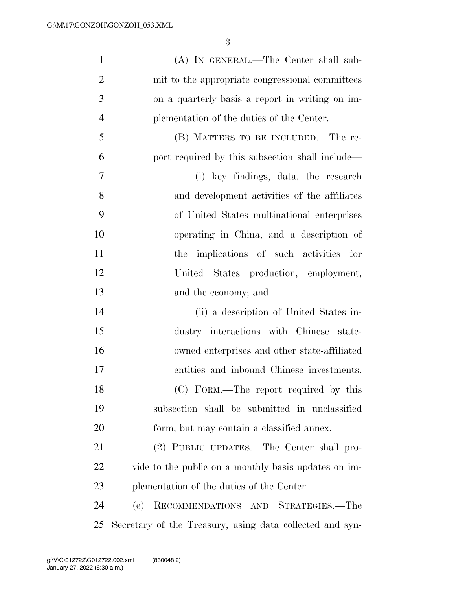| $\mathbf{1}$   | (A) IN GENERAL.—The Center shall sub-                    |
|----------------|----------------------------------------------------------|
| $\overline{2}$ | mit to the appropriate congressional committees          |
| 3              | on a quarterly basis a report in writing on im-          |
| $\overline{4}$ | plementation of the duties of the Center.                |
| 5              | (B) MATTERS TO BE INCLUDED.—The re-                      |
| 6              | port required by this subsection shall include—          |
| 7              | (i) key findings, data, the research                     |
| 8              | and development activities of the affiliates             |
| 9              | of United States multinational enterprises               |
| 10             | operating in China, and a description of                 |
| 11             | the implications of such activities for                  |
| 12             | United States production, employment,                    |
| 13             | and the economy; and                                     |
| 14             | (ii) a description of United States in-                  |
| 15             | dustry interactions with Chinese state-                  |
| 16             | owned enterprises and other state-affiliated             |
| 17             | entities and inbound Chinese investments.                |
| 18             | (C) FORM.—The report required by this                    |
| 19             | subsection shall be submitted in unclassified            |
| 20             | form, but may contain a classified annex.                |
| 21             | (2) PUBLIC UPDATES.—The Center shall pro-                |
| 22             | vide to the public on a monthly basis updates on im-     |
| 23             | plementation of the duties of the Center.                |
| 24             | RECOMMENDATIONS AND STRATEGIES.-The<br>(e)               |
| 25             | Secretary of the Treasury, using data collected and syn- |